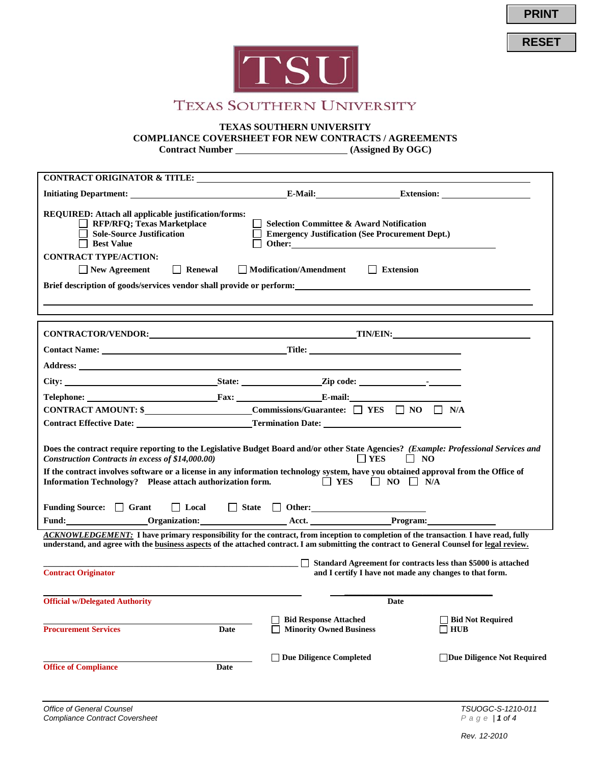**PRINT**

**RESET**



# **TEXAS SOUTHERN UNIVERSITY**

#### **TEXAS SOUTHERN UNIVERSITY**

**COMPLIANCE COVERSHEET FOR NEW CONTRACTS / AGREEMENTS**

**Contract Number** *CONTRACTER (Assigned By OGC)* 

| <b>CONTRACT ORIGINATOR &amp; TITLE:</b>                                                                                                                                                                                                                                                                                                                                                                                                             |                                                                                                                                                                                                                                |                                               |  |  |  |
|-----------------------------------------------------------------------------------------------------------------------------------------------------------------------------------------------------------------------------------------------------------------------------------------------------------------------------------------------------------------------------------------------------------------------------------------------------|--------------------------------------------------------------------------------------------------------------------------------------------------------------------------------------------------------------------------------|-----------------------------------------------|--|--|--|
|                                                                                                                                                                                                                                                                                                                                                                                                                                                     |                                                                                                                                                                                                                                |                                               |  |  |  |
| REQUIRED: Attach all applicable justification/forms:<br>$\Box$ RFP/RFQ; Texas Marketplace<br>$\Box$ Sole-Source Justification<br>$\Box$ Best Value<br><b>CONTRACT TYPE/ACTION:</b>                                                                                                                                                                                                                                                                  | $\Box$ Selection Committee & Award Notification<br><b>Emergency Justification (See Procurement Dept.)</b>                                                                                                                      |                                               |  |  |  |
| $\Box$ Renewal<br>$\Box$ New Agreement                                                                                                                                                                                                                                                                                                                                                                                                              | Modification/Amendment<br>Extension                                                                                                                                                                                            |                                               |  |  |  |
|                                                                                                                                                                                                                                                                                                                                                                                                                                                     |                                                                                                                                                                                                                                |                                               |  |  |  |
|                                                                                                                                                                                                                                                                                                                                                                                                                                                     |                                                                                                                                                                                                                                |                                               |  |  |  |
|                                                                                                                                                                                                                                                                                                                                                                                                                                                     |                                                                                                                                                                                                                                |                                               |  |  |  |
|                                                                                                                                                                                                                                                                                                                                                                                                                                                     |                                                                                                                                                                                                                                |                                               |  |  |  |
|                                                                                                                                                                                                                                                                                                                                                                                                                                                     |                                                                                                                                                                                                                                |                                               |  |  |  |
|                                                                                                                                                                                                                                                                                                                                                                                                                                                     |                                                                                                                                                                                                                                |                                               |  |  |  |
|                                                                                                                                                                                                                                                                                                                                                                                                                                                     |                                                                                                                                                                                                                                |                                               |  |  |  |
|                                                                                                                                                                                                                                                                                                                                                                                                                                                     | CONTRACT AMOUNT: \$___________________________Commissions/Guarantee: □ YES □ NO □ N/A                                                                                                                                          |                                               |  |  |  |
|                                                                                                                                                                                                                                                                                                                                                                                                                                                     |                                                                                                                                                                                                                                |                                               |  |  |  |
| Does the contract require reporting to the Legislative Budget Board and/or other State Agencies? (Example: Professional Services and<br>Construction Contracts in excess of \$14,000.00)<br>$\Box$ YES $\Box$ NO<br>If the contract involves software or a license in any information technology system, have you obtained approval from the Office of<br>Information Technology? Please attach authorization form. $\Box$ YES $\Box$ NO $\Box$ N/A |                                                                                                                                                                                                                                |                                               |  |  |  |
|                                                                                                                                                                                                                                                                                                                                                                                                                                                     |                                                                                                                                                                                                                                |                                               |  |  |  |
| Funding Source: $\Box$ Grant $\Box$ Local $\Box$ State $\Box$ Other:                                                                                                                                                                                                                                                                                                                                                                                | Fund: Communication: Communication: Communication: Communication: Communication: Communication: Communication: Communication: Communication: Communication: Communication: Communication: Communication: Communication: Commun |                                               |  |  |  |
|                                                                                                                                                                                                                                                                                                                                                                                                                                                     | ACKNOWLEDGEMENT: I have primary responsibility for the contract, from inception to completion of the transaction. I have read, fully                                                                                           |                                               |  |  |  |
|                                                                                                                                                                                                                                                                                                                                                                                                                                                     | understand, and agree with the business aspects of the attached contract. I am submitting the contract to General Counsel for legal review.                                                                                    |                                               |  |  |  |
|                                                                                                                                                                                                                                                                                                                                                                                                                                                     | $\Box$ Standard Agreement for contracts less than \$5000 is attached                                                                                                                                                           |                                               |  |  |  |
| <b>Contract Originator</b>                                                                                                                                                                                                                                                                                                                                                                                                                          | and I certify I have not made any changes to that form.                                                                                                                                                                        |                                               |  |  |  |
| <b>Official w/Delegated Authority</b>                                                                                                                                                                                                                                                                                                                                                                                                               |                                                                                                                                                                                                                                |                                               |  |  |  |
|                                                                                                                                                                                                                                                                                                                                                                                                                                                     | Date                                                                                                                                                                                                                           |                                               |  |  |  |
| <b>Procurement Services</b><br>Date                                                                                                                                                                                                                                                                                                                                                                                                                 | <b>Bid Response Attached</b><br><b>Minority Owned Business</b>                                                                                                                                                                 | <b>Bid Not Required</b><br>$\blacksquare$ HUB |  |  |  |
|                                                                                                                                                                                                                                                                                                                                                                                                                                                     | □ Due Diligence Completed                                                                                                                                                                                                      | □Due Diligence Not Required                   |  |  |  |
| <b>Office of Compliance</b><br>Date                                                                                                                                                                                                                                                                                                                                                                                                                 |                                                                                                                                                                                                                                |                                               |  |  |  |
|                                                                                                                                                                                                                                                                                                                                                                                                                                                     |                                                                                                                                                                                                                                |                                               |  |  |  |
|                                                                                                                                                                                                                                                                                                                                                                                                                                                     |                                                                                                                                                                                                                                |                                               |  |  |  |

*Rev. 12-2010*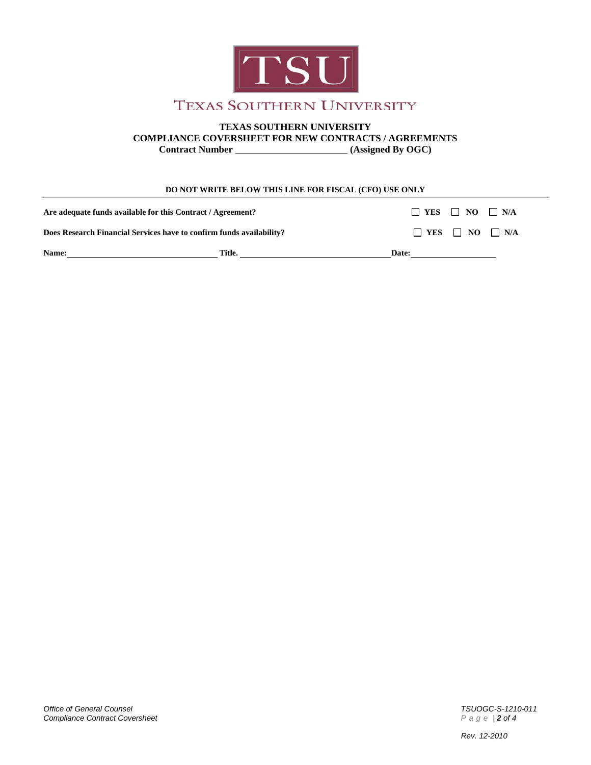

# **TEXAS SOUTHERN UNIVERSITY**

**COMPLIANCE COVERSHEET FOR NEW CONTRACTS / AGREEMENTS**

**Contract Number** *CONSERIES (Assigned By OGC)* 

#### **DO NOT WRITE BELOW THIS LINE FOR FISCAL (CFO) USE ONLY**

| <b>Name:</b>                                                         | Title. | Date:                           |                                 |  |
|----------------------------------------------------------------------|--------|---------------------------------|---------------------------------|--|
| Does Research Financial Services have to confirm funds availability? |        |                                 | $\Box$ YES $\Box$ NO $\Box$ N/A |  |
| Are adequate funds available for this Contract / Agreement?          |        | $\Box$ YES $\Box$ NO $\Box$ N/A |                                 |  |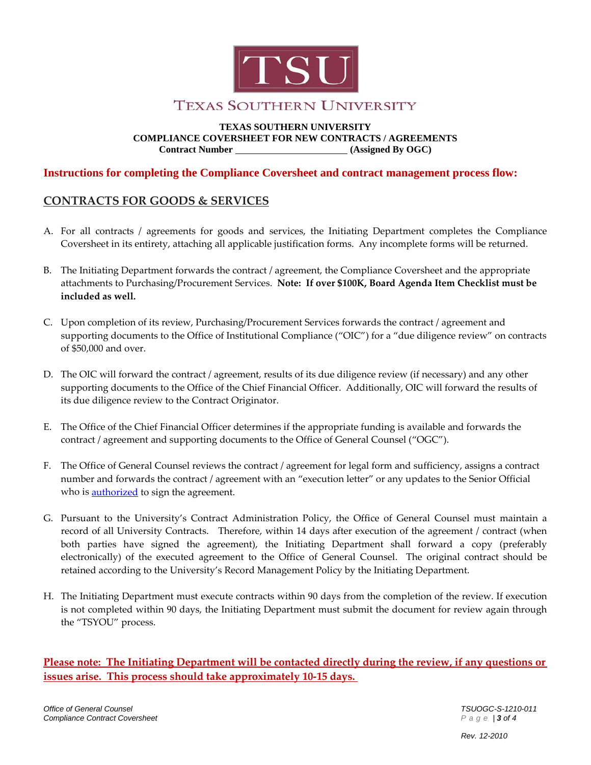

# **TEXAS SOUTHERN UNIVERSITY**

**TEXAS SOUTHERN UNIVERSITY COMPLIANCE COVERSHEET FOR NEW CONTRACTS / AGREEMENTS Contract Number (Assigned By OGC)**

### **Instructions for completing the Compliance Coversheet and contract management process flow:**

## **CONTRACTS FOR GOODS & SERVICES**

- A. For all contracts / agreements for goods and services, the Initiating Department completes the Compliance Coversheet in its entirety, attaching all applicable justification forms. Any incomplete forms will be returned.
- B. The Initiating Department forwards the contract / agreement, the Compliance Coversheet and the appropriate attachments to Purchasing/Procurement Services. **Note: If over \$100K, Board Agenda Item Checklist must be included as well.**
- C. Upon completion of its review, Purchasing/Procurement Services forwards the contract / agreement and supporting documents to the Office of Institutional Compliance ("OIC") for a "due diligence review" on contracts of \$50,000 and over.
- D. The OIC will forward the contract / agreement, results of its due diligence review (if necessary) and any other supporting documents to the Office of the Chief Financial Officer. Additionally, OIC will forward the results of its due diligence review to the Contract Originator.
- E. The Office of the Chief Financial Officer determines if the appropriate funding is available and forwards the contract / agreement and supporting documents to the Office of General Counsel ("OGC").
- F. The Office of General Counsel reviews the contract / agreement for legal form and sufficiency, assigns a contract number and forwards the contract / agreement with an "execution letter" or any updates to the Senior Official who is **authorized** to sign the agreement.
- G. Pursuant to the University's Contract Administration Policy, the Office of General Counsel must maintain a record of all University Contracts. Therefore, within 14 days after execution of the agreement / contract (when both parties have signed the agreement), the Initiating Department shall forward a copy (preferably electronically) of the executed agreement to the Office of General Counsel. The original contract should be retained according to the University's Record Management Policy by the Initiating Department.
- H. The Initiating Department must execute contracts within 90 days from the completion of the review. If execution is not completed within 90 days, the Initiating Department must submit the document for review again through the "TSYOU" process.

**Please note: The Initiating Department will be contacted directly during the review, if any questions or issues arise. This process should take approximately 10-15 days.**